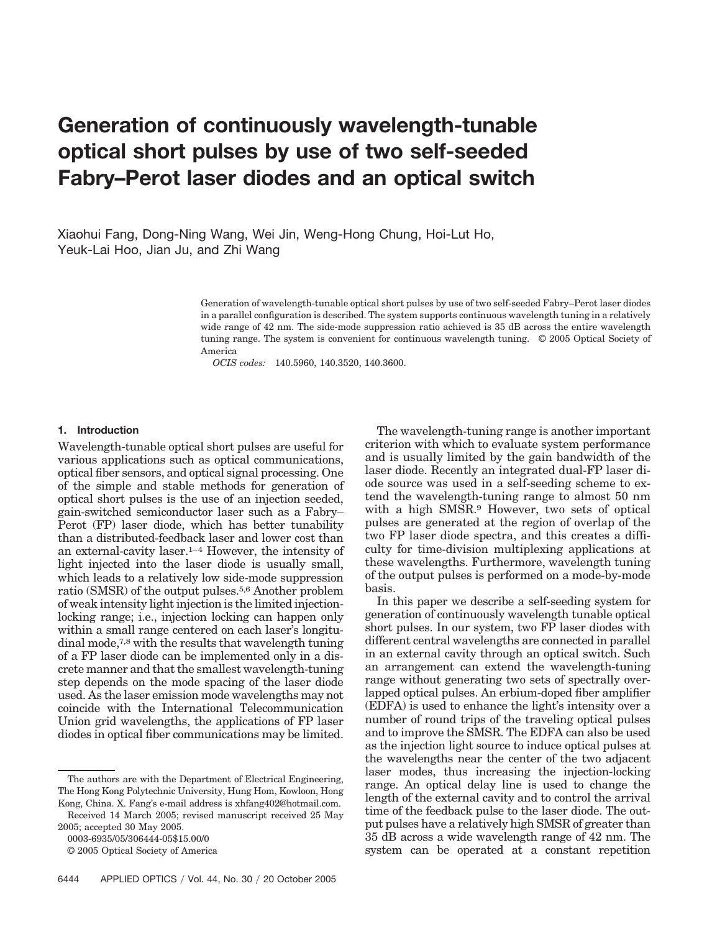# **Generation of continuously wavelength-tunable optical short pulses by use of two self-seeded Fabry–Perot laser diodes and an optical switch**

Xiaohui Fang, Dong-Ning Wang, Wei Jin, Weng-Hong Chung, Hoi-Lut Ho, Yeuk-Lai Hoo, Jian Ju, and Zhi Wang

> Generation of wavelength-tunable optical short pulses by use of two self-seeded Fabry–Perot laser diodes in a parallel configuration is described. The system supports continuous wavelength tuning in a relatively wide range of 42 nm. The side-mode suppression ratio achieved is 35 dB across the entire wavelength tuning range. The system is convenient for continuous wavelength tuning. © 2005 Optical Society of America

*OCIS codes:* 140.5960, 140.3520, 140.3600.

## **1. Introduction**

Wavelength-tunable optical short pulses are useful for various applications such as optical communications, optical fiber sensors, and optical signal processing. One of the simple and stable methods for generation of optical short pulses is the use of an injection seeded, gain-switched semiconductor laser such as a Fabry– Perot (FP) laser diode, which has better tunability than a distributed-feedback laser and lower cost than an external-cavity laser.1–4 However, the intensity of light injected into the laser diode is usually small, which leads to a relatively low side-mode suppression ratio (SMSR) of the output pulses.5,6 Another problem of weak intensity light injection is the limited injectionlocking range; i.e., injection locking can happen only within a small range centered on each laser's longitudinal mode,7,8 with the results that wavelength tuning of a FP laser diode can be implemented only in a discrete manner and that the smallest wavelength-tuning step depends on the mode spacing of the laser diode used. As the laser emission mode wavelengths may not coincide with the International Telecommunication Union grid wavelengths, the applications of FP laser diodes in optical fiber communications may be limited.

0003-6935/05/306444-05\$15.00/0

The wavelength-tuning range is another important criterion with which to evaluate system performance and is usually limited by the gain bandwidth of the laser diode. Recently an integrated dual-FP laser diode source was used in a self-seeding scheme to extend the wavelength-tuning range to almost 50 nm with a high SMSR.9 However, two sets of optical pulses are generated at the region of overlap of the two FP laser diode spectra, and this creates a difficulty for time-division multiplexing applications at these wavelengths. Furthermore, wavelength tuning of the output pulses is performed on a mode-by-mode basis.

In this paper we describe a self-seeding system for generation of continuously wavelength tunable optical short pulses. In our system, two FP laser diodes with different central wavelengths are connected in parallel in an external cavity through an optical switch. Such an arrangement can extend the wavelength-tuning range without generating two sets of spectrally overlapped optical pulses. An erbium-doped fiber amplifier (EDFA) is used to enhance the light's intensity over a number of round trips of the traveling optical pulses and to improve the SMSR. The EDFA can also be used as the injection light source to induce optical pulses at the wavelengths near the center of the two adjacent laser modes, thus increasing the injection-locking range. An optical delay line is used to change the length of the external cavity and to control the arrival time of the feedback pulse to the laser diode. The output pulses have a relatively high SMSR of greater than 35 dB across a wide wavelength range of 42 nm. The system can be operated at a constant repetition

The authors are with the Department of Electrical Engineering, The Hong Kong Polytechnic University, Hung Hom, Kowloon, Hong Kong, China. X. Fang's e-mail address is xhfang402@hotmail.com.

Received 14 March 2005; revised manuscript received 25 May 2005; accepted 30 May 2005.

<sup>© 2005</sup> Optical Society of America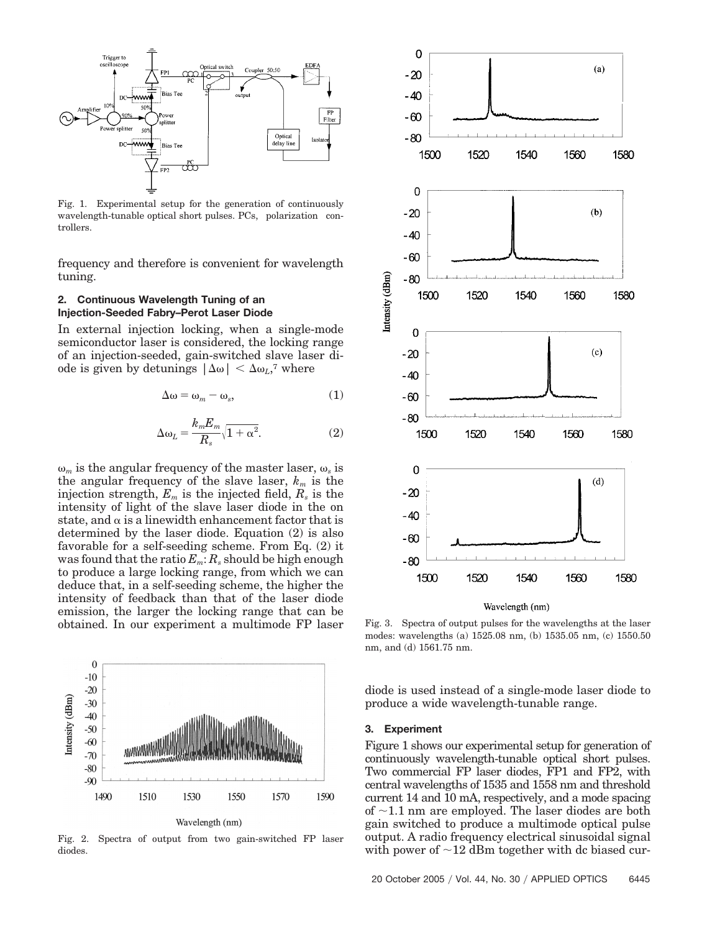

Fig. 1. Experimental setup for the generation of continuously wavelength-tunable optical short pulses. PCs, polarization controllers.

frequency and therefore is convenient for wavelength tuning.

## **2. Continuous Wavelength Tuning of an Injection-Seeded Fabry–Perot Laser Diode**

In external injection locking, when a single-mode semiconductor laser is considered, the locking range of an injection-seeded, gain-switched slave laser diode is given by detunings  $|\Delta \omega| < \Delta \omega_L$ <sup>7</sup>, where

$$
\Delta \omega = \omega_m - \omega_s, \tag{1}
$$

$$
\Delta \omega_L = \frac{k_m E_m}{R_s} \sqrt{1 + \alpha^2}.
$$
 (2)

 $\omega_m$  is the angular frequency of the master laser,  $\omega_s$  is the angular frequency of the slave laser,  $k_m$  is the injection strength,  $E_m$  is the injected field,  $R_s$  is the intensity of light of the slave laser diode in the on state, and  $\alpha$  is a linewidth enhancement factor that is determined by the laser diode. Equation (2) is also favorable for a self-seeding scheme. From Eq. (2) it was found that the ratio  $E_m$ :  $R_s$  should be high enough to produce a large locking range, from which we can deduce that, in a self-seeding scheme, the higher the intensity of feedback than that of the laser diode emission, the larger the locking range that can be obtained. In our experiment a multimode FP laser



Fig. 2. Spectra of output from two gain-switched FP laser diodes.



Wavelength (nm)

Fig. 3. Spectra of output pulses for the wavelengths at the laser modes: wavelengths (a) 1525.08 nm, (b) 1535.05 nm, (c) 1550.50 nm, and (d) 1561.75 nm.

diode is used instead of a single-mode laser diode to produce a wide wavelength-tunable range.

#### **3. Experiment**

Figure 1 shows our experimental setup for generation of continuously wavelength-tunable optical short pulses. Two commercial FP laser diodes, FP1 and FP2, with central wavelengths of 1535 and 1558 nm and threshold current 14 and 10 mA, respectively, and a mode spacing of  $\sim$ 1.1 nm are employed. The laser diodes are both gain switched to produce a multimode optical pulse output. A radio frequency electrical sinusoidal signal with power of  $\sim$ 12 dBm together with dc biased cur-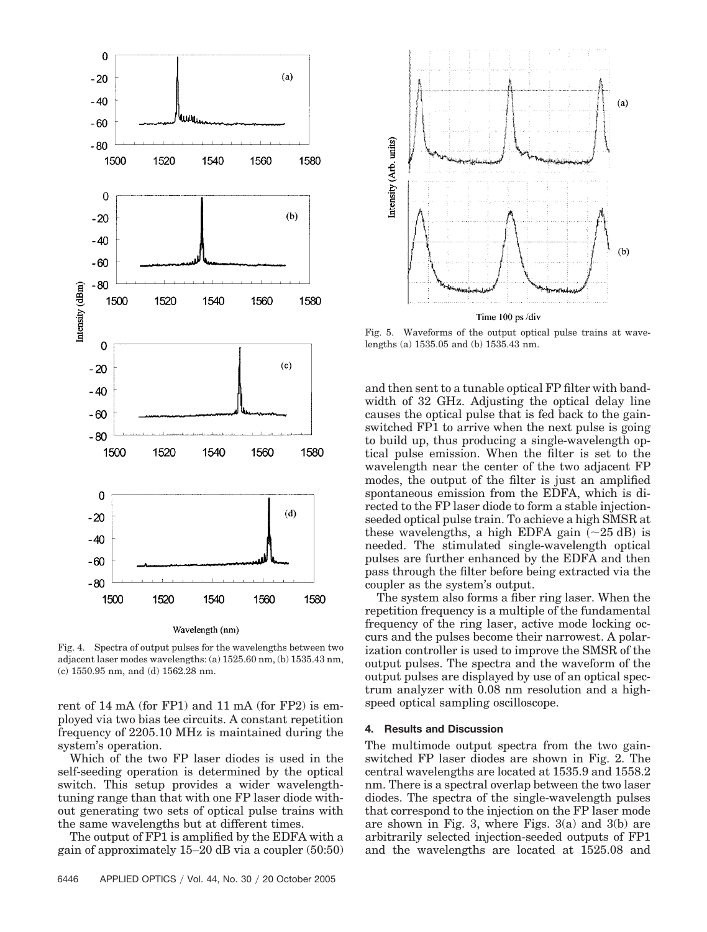

Fig. 4. Spectra of output pulses for the wavelengths between two adjacent laser modes wavelengths: (a) 1525.60 nm, (b) 1535.43 nm, (c) 1550.95 nm, and (d) 1562.28 nm.

rent of 14 mA (for FP1) and 11 mA (for FP2) is employed via two bias tee circuits. A constant repetition frequency of 2205.10 MHz is maintained during the system's operation.

Which of the two FP laser diodes is used in the self-seeding operation is determined by the optical switch. This setup provides a wider wavelengthtuning range than that with one FP laser diode without generating two sets of optical pulse trains with the same wavelengths but at different times.

The output of FP1 is amplified by the EDFA with a gain of approximately 15–20 dB via a coupler (50:50)



Fig. 5. Waveforms of the output optical pulse trains at wavelengths (a) 1535.05 and (b) 1535.43 nm.

and then sent to a tunable optical FP filter with bandwidth of 32 GHz. Adjusting the optical delay line causes the optical pulse that is fed back to the gainswitched FP1 to arrive when the next pulse is going to build up, thus producing a single-wavelength optical pulse emission. When the filter is set to the wavelength near the center of the two adjacent FP modes, the output of the filter is just an amplified spontaneous emission from the EDFA, which is directed to the FP laser diode to form a stable injectionseeded optical pulse train. To achieve a high SMSR at these wavelengths, a high EDFA gain  $(\sim 25 \text{ dB})$  is needed. The stimulated single-wavelength optical pulses are further enhanced by the EDFA and then pass through the filter before being extracted via the coupler as the system's output.

The system also forms a fiber ring laser. When the repetition frequency is a multiple of the fundamental frequency of the ring laser, active mode locking occurs and the pulses become their narrowest. A polarization controller is used to improve the SMSR of the output pulses. The spectra and the waveform of the output pulses are displayed by use of an optical spectrum analyzer with 0.08 nm resolution and a highspeed optical sampling oscilloscope.

#### **4. Results and Discussion**

The multimode output spectra from the two gainswitched FP laser diodes are shown in Fig. 2. The central wavelengths are located at 1535.9 and 1558.2 nm. There is a spectral overlap between the two laser diodes. The spectra of the single-wavelength pulses that correspond to the injection on the FP laser mode are shown in Fig. 3, where Figs. 3(a) and 3(b) are arbitrarily selected injection-seeded outputs of FP1 and the wavelengths are located at 1525.08 and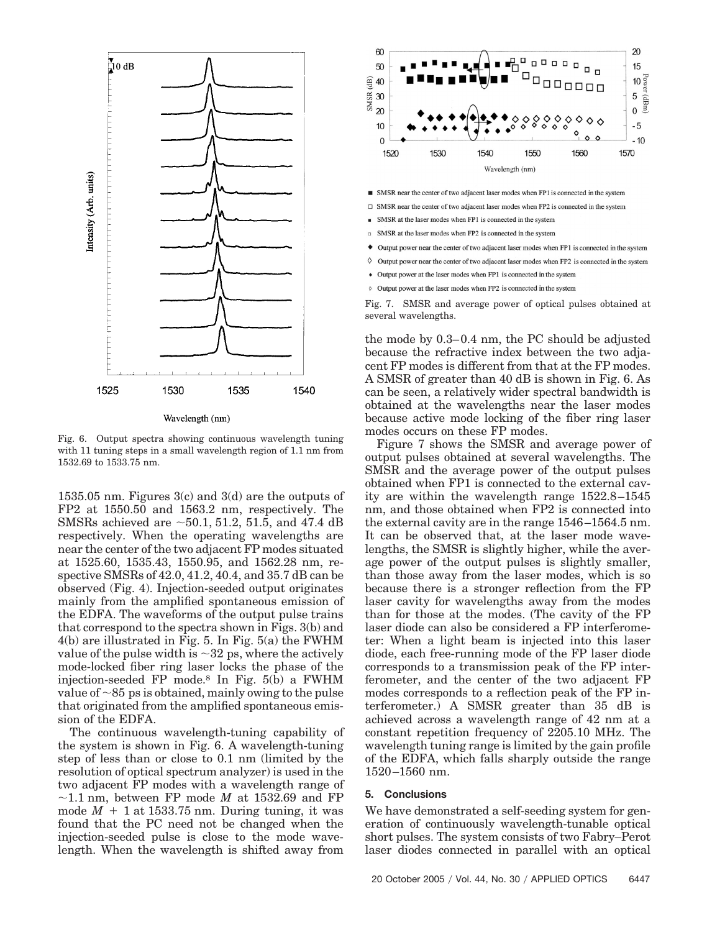

Fig. 6. Output spectra showing continuous wavelength tuning with 11 tuning steps in a small wavelength region of 1.1 nm from 1532.69 to 1533.75 nm.

1535.05 nm. Figures 3(c) and 3(d) are the outputs of FP2 at 1550.50 and 1563.2 nm, respectively. The SMSRs achieved are  $\sim 50.1, 51.2, 51.5,$  and 47.4 dB respectively. When the operating wavelengths are near the center of the two adjacent FP modes situated at 1525.60, 1535.43, 1550.95, and 1562.28 nm, respective SMSRs of 42.0, 41.2, 40.4, and 35.7 dB can be observed (Fig. 4). Injection-seeded output originates mainly from the amplified spontaneous emission of the EDFA. The waveforms of the output pulse trains that correspond to the spectra shown in Figs. 3(b) and 4(b) are illustrated in Fig. 5. In Fig. 5(a) the FWHM value of the pulse width is  $\sim$ 32 ps, where the actively mode-locked fiber ring laser locks the phase of the injection-seeded FP mode.8 In Fig. 5(b) a FWHM value of  $\sim$ 85 ps is obtained, mainly owing to the pulse that originated from the amplified spontaneous emission of the EDFA.

The continuous wavelength-tuning capability of the system is shown in Fig. 6. A wavelength-tuning step of less than or close to 0.1 nm (limited by the resolution of optical spectrum analyzer) is used in the two adjacent FP modes with a wavelength range of  $\sim$ 1.1 nm, between FP mode *M* at 1532.69 and FP mode  $M + 1$  at 1533.75 nm. During tuning, it was found that the PC need not be changed when the injection-seeded pulse is close to the mode wavelength. When the wavelength is shifted away from



- $\Box$  SMSR near the center of two adjacent laser modes when FP2 is connected in the system
- SMSR at the laser modes when FP1 is connected in the system  $\mathbf{u}^{\prime}$
- SMSR at the laser modes when FP2 is connected in the system  $\Box$
- ٠ Output power near the center of two adjacent laser modes when FP1 is connected in the system
- $\Diamond$  Output power near the center of two adjacent laser modes when FP2 is connected in the system
- Output power at the laser modes when FP1 is connected in the system
- Output power at the laser modes when FP2 is connected in the system

Fig. 7. SMSR and average power of optical pulses obtained at several wavelengths.

the mode by 0.3–0.4 nm, the PC should be adjusted because the refractive index between the two adjacent FP modes is different from that at the FP modes. A SMSR of greater than 40 dB is shown in Fig. 6. As can be seen, a relatively wider spectral bandwidth is obtained at the wavelengths near the laser modes because active mode locking of the fiber ring laser modes occurs on these FP modes.

Figure 7 shows the SMSR and average power of output pulses obtained at several wavelengths. The SMSR and the average power of the output pulses obtained when FP1 is connected to the external cavity are within the wavelength range 1522.8–1545 nm, and those obtained when FP2 is connected into the external cavity are in the range 1546–1564.5 nm. It can be observed that, at the laser mode wavelengths, the SMSR is slightly higher, while the average power of the output pulses is slightly smaller, than those away from the laser modes, which is so because there is a stronger reflection from the FP laser cavity for wavelengths away from the modes than for those at the modes. (The cavity of the FP laser diode can also be considered a FP interferometer: When a light beam is injected into this laser diode, each free-running mode of the FP laser diode corresponds to a transmission peak of the FP interferometer, and the center of the two adjacent FP modes corresponds to a reflection peak of the FP interferometer.) A SMSR greater than 35 dB is achieved across a wavelength range of 42 nm at a constant repetition frequency of 2205.10 MHz. The wavelength tuning range is limited by the gain profile of the EDFA, which falls sharply outside the range 1520–1560 nm.

#### **5. Conclusions**

We have demonstrated a self-seeding system for generation of continuously wavelength-tunable optical short pulses. The system consists of two Fabry–Perot laser diodes connected in parallel with an optical